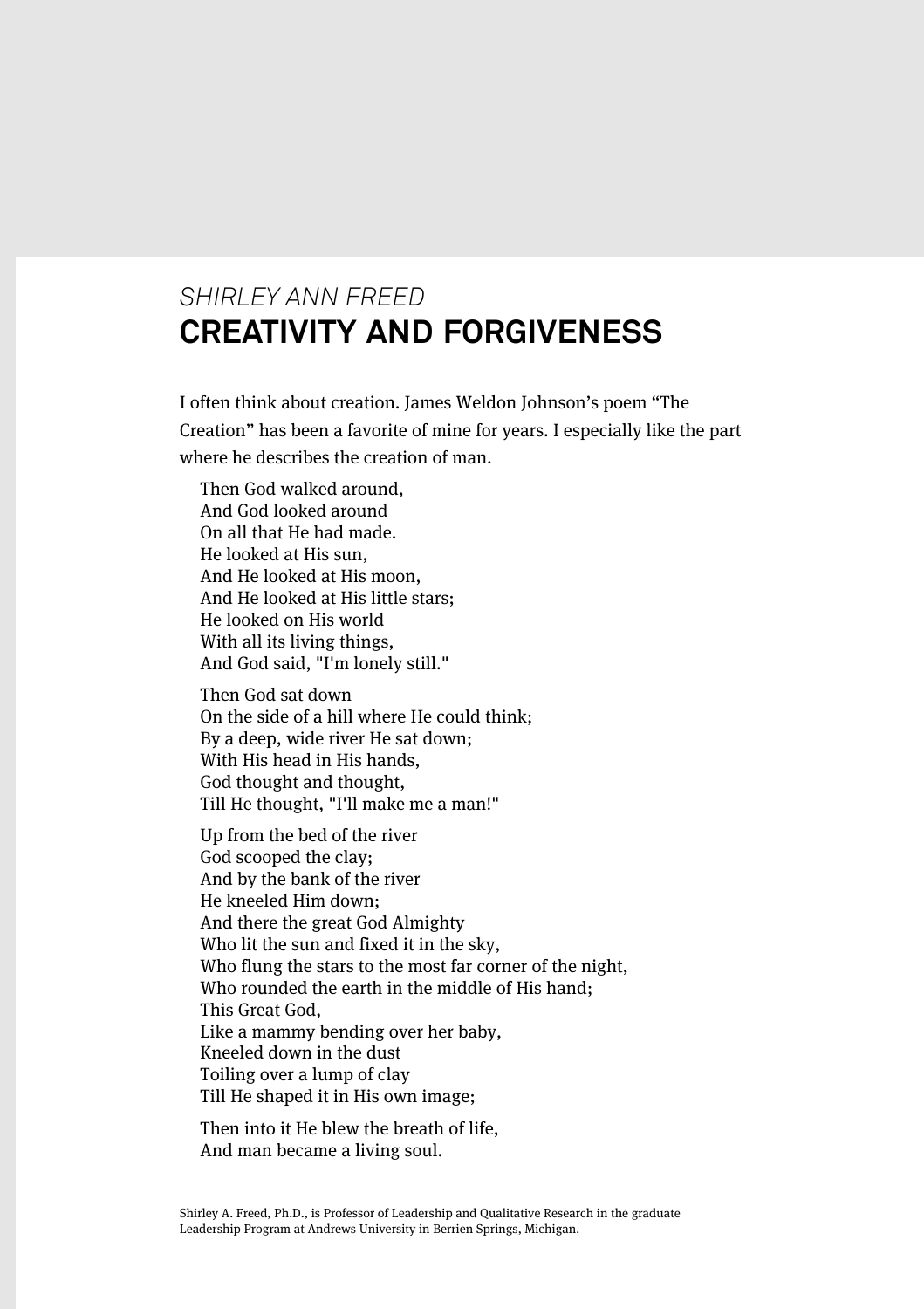## *SHIRLEY ANN FREED* **CREATIVITY AND FORGIVENESS**

I often think about creation. James Weldon Johnson's poem "The Creation" has been a favorite of mine for years. I especially like the part where he describes the creation of man.

Then God walked around, And God looked around On all that He had made. He looked at His sun, And He looked at His moon, And He looked at His little stars; He looked on His world With all its living things, And God said, "I'm lonely still."

Then God sat down On the side of a hill where He could think; By a deep, wide river He sat down; With His head in His hands, God thought and thought, Till He thought, "I'll make me a man!"

Up from the bed of the river God scooped the clay; And by the bank of the river He kneeled Him down; And there the great God Almighty Who lit the sun and fixed it in the sky, Who flung the stars to the most far corner of the night, Who rounded the earth in the middle of His hand; This Great God, Like a mammy bending over her baby, Kneeled down in the dust Toiling over a lump of clay Till He shaped it in His own image;

Then into it He blew the breath of life, And man became a living soul.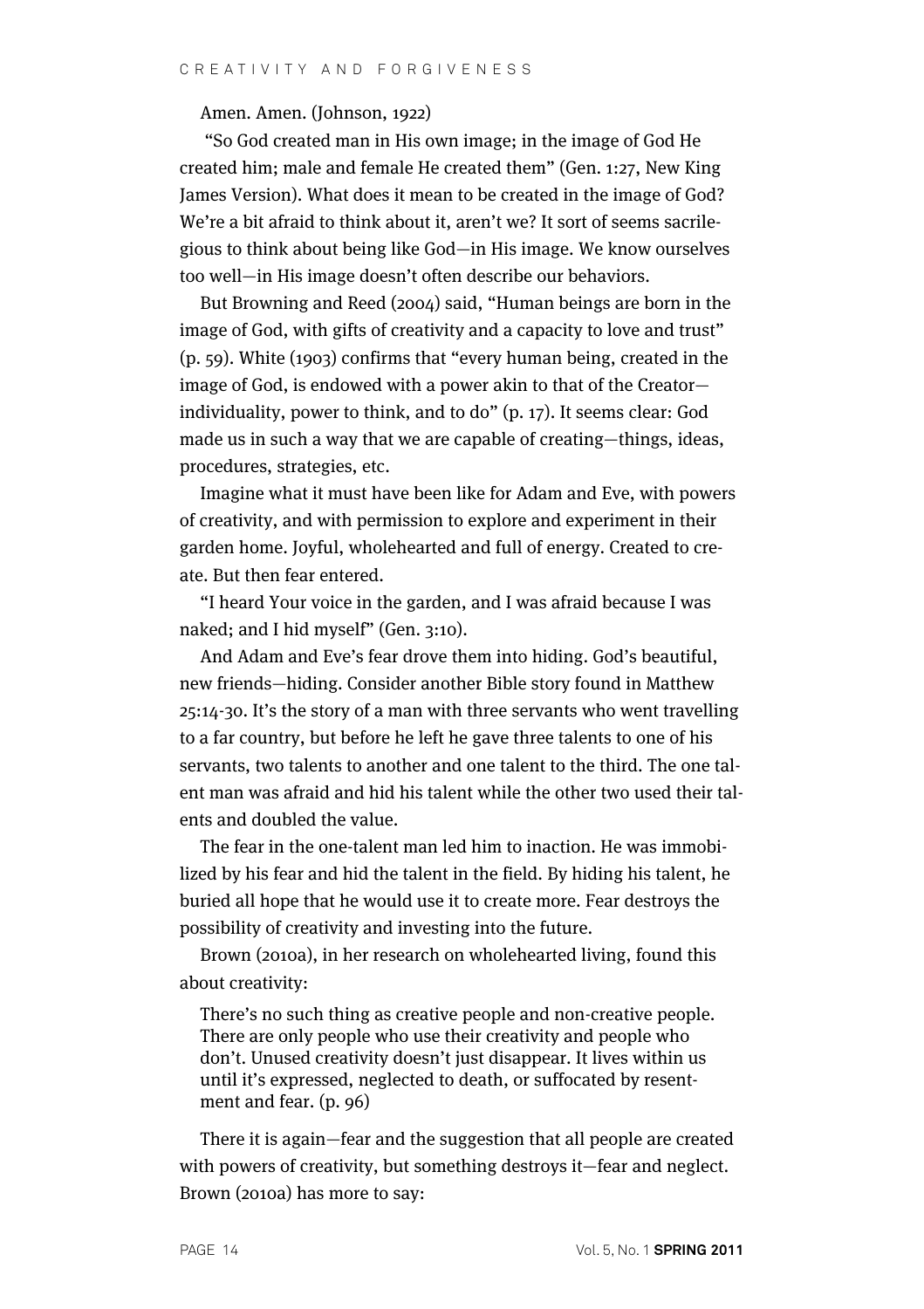Amen. Amen. (Johnson, 1922)

"So God created man in His own image; in the image of God He created him; male and female He created them" (Gen. 1:27, New King James Version). What does it mean to be created in the image of God? We're a bit afraid to think about it, aren't we? It sort of seems sacrilegious to think about being like God—in His image. We know ourselves too well—in His image doesn't often describe our behaviors.

But Browning and Reed (2004) said, "Human beings are born in the image of God, with gifts of creativity and a capacity to love and trust" (p. 59). White (1903) confirms that "every human being, created in the image of God, is endowed with a power akin to that of the Creator individuality, power to think, and to do" (p. 17). It seems clear: God made us in such a way that we are capable of creating—things, ideas, procedures, strategies, etc.

Imagine what it must have been like for Adam and Eve, with powers of creativity, and with permission to explore and experiment in their garden home. Joyful, wholehearted and full of energy. Created to create. But then fear entered.

"I heard Your voice in the garden, and I was afraid because I was naked; and I hid myself" (Gen. 3:10).

And Adam and Eve's fear drove them into hiding. God's beautiful, new friends—hiding. Consider another Bible story found in Matthew 25:14-30. It's the story of a man with three servants who went travelling to a far country, but before he left he gave three talents to one of his servants, two talents to another and one talent to the third. The one talent man was afraid and hid his talent while the other two used their talents and doubled the value.

The fear in the one-talent man led him to inaction. He was immobilized by his fear and hid the talent in the field. By hiding his talent, he buried all hope that he would use it to create more. Fear destroys the possibility of creativity and investing into the future.

Brown (2010a), in her research on wholehearted living, found this about creativity:

There's no such thing as creative people and non-creative people. There are only people who use their creativity and people who don't. Unused creativity doesn't just disappear. It lives within us until it's expressed, neglected to death, or suffocated by resentment and fear. (p. 96)

There it is again—fear and the suggestion that all people are created with powers of creativity, but something destroys it—fear and neglect. Brown (2010a) has more to say: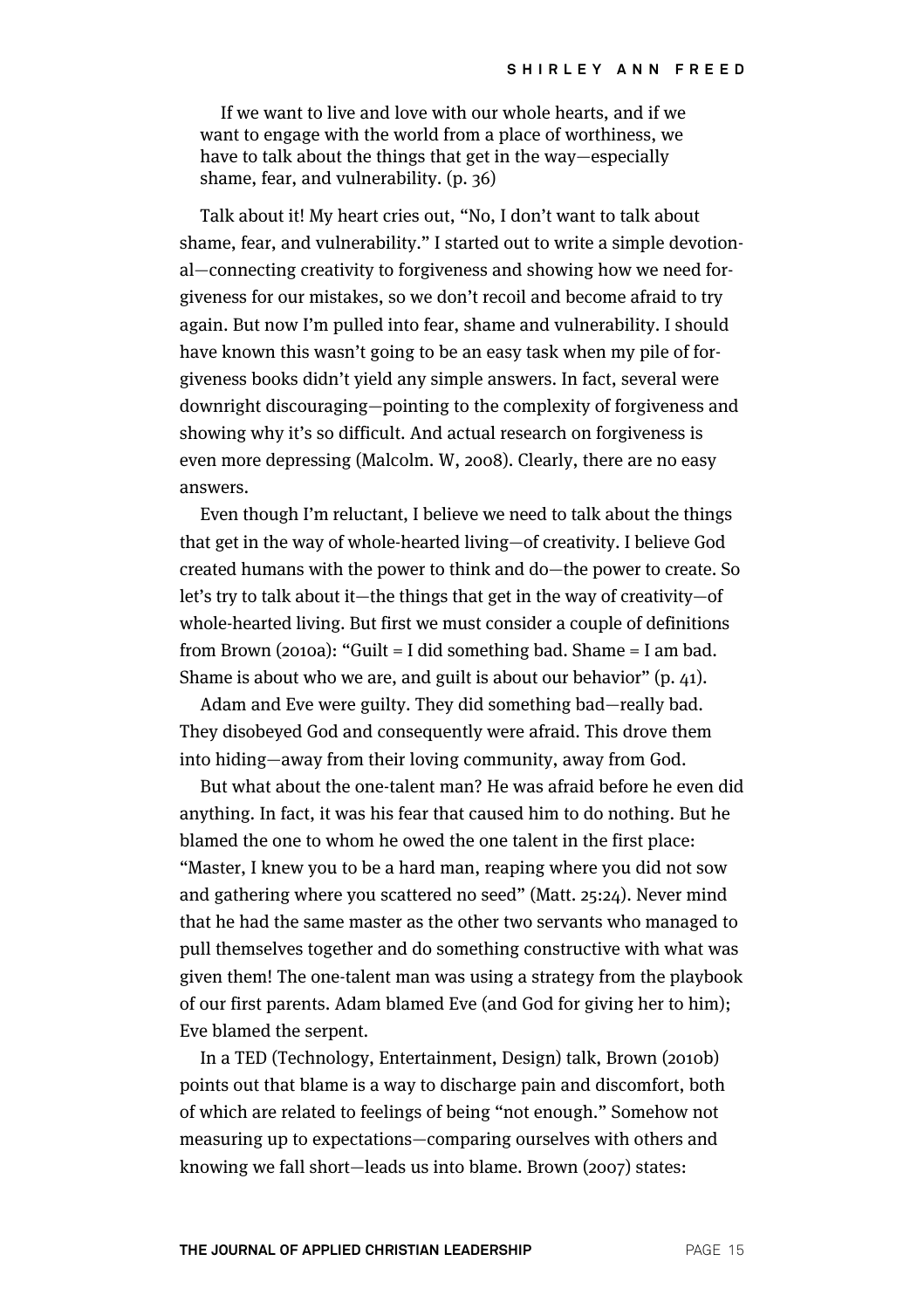If we want to live and love with our whole hearts, and if we want to engage with the world from a place of worthiness, we have to talk about the things that get in the way—especially shame, fear, and vulnerability. (p. 36)

Talk about it! My heart cries out, "No, I don't want to talk about shame, fear, and vulnerability." I started out to write a simple devotional—connecting creativity to forgiveness and showing how we need forgiveness for our mistakes, so we don't recoil and become afraid to try again. But now I'm pulled into fear, shame and vulnerability. I should have known this wasn't going to be an easy task when my pile of forgiveness books didn't yield any simple answers. In fact, several were downright discouraging—pointing to the complexity of forgiveness and showing why it's so difficult. And actual research on forgiveness is even more depressing (Malcolm. W, 2008). Clearly, there are no easy answers.

Even though I'm reluctant, I believe we need to talk about the things that get in the way of whole-hearted living—of creativity. I believe God created humans with the power to think and do—the power to create. So let's try to talk about it—the things that get in the way of creativity—of whole-hearted living. But first we must consider a couple of definitions from Brown (2010a): "Guilt = I did something bad. Shame = I am bad. Shame is about who we are, and guilt is about our behavior" (p. 41).

Adam and Eve were guilty. They did something bad—really bad. They disobeyed God and consequently were afraid. This drove them into hiding—away from their loving community, away from God.

But what about the one-talent man? He was afraid before he even did anything. In fact, it was his fear that caused him to do nothing. But he blamed the one to whom he owed the one talent in the first place: "Master, I knew you to be a hard man, reaping where you did not sow and gathering where you scattered no seed" (Matt. 25:24). Never mind that he had the same master as the other two servants who managed to pull themselves together and do something constructive with what was given them! The one-talent man was using a strategy from the playbook of our first parents. Adam blamed Eve (and God for giving her to him); Eve blamed the serpent.

In a TED (Technology, Entertainment, Design) talk, Brown (2010b) points out that blame is a way to discharge pain and discomfort, both of which are related to feelings of being "not enough." Somehow not measuring up to expectations—comparing ourselves with others and knowing we fall short—leads us into blame. Brown (2007) states: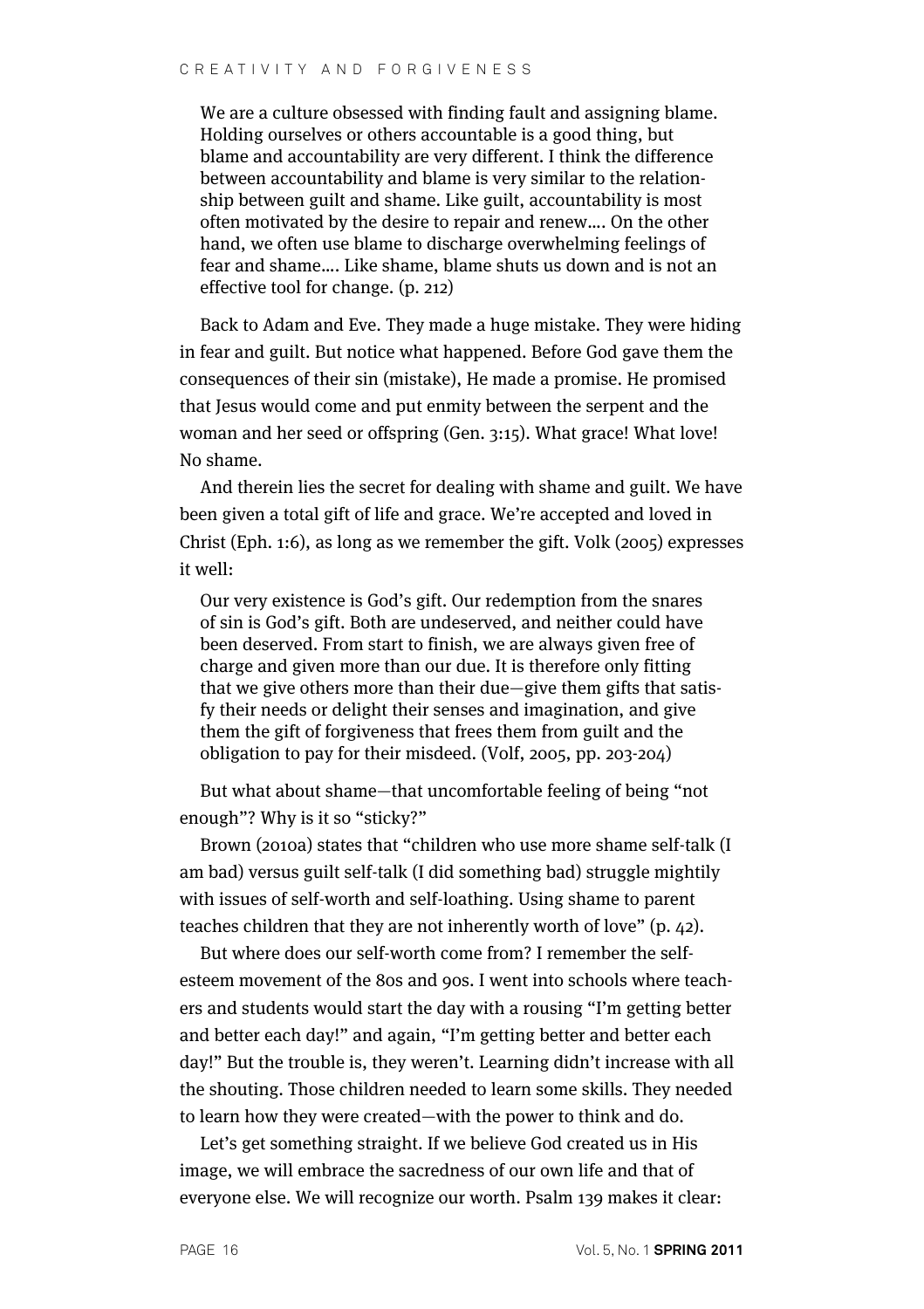We are a culture obsessed with finding fault and assigning blame. Holding ourselves or others accountable is a good thing, but blame and accountability are very different. I think the difference between accountability and blame is very similar to the relationship between guilt and shame. Like guilt, accountability is most often motivated by the desire to repair and renew…. On the other hand, we often use blame to discharge overwhelming feelings of fear and shame…. Like shame, blame shuts us down and is not an effective tool for change. (p. 212)

Back to Adam and Eve. They made a huge mistake. They were hiding in fear and guilt. But notice what happened. Before God gave them the consequences of their sin (mistake), He made a promise. He promised that Jesus would come and put enmity between the serpent and the woman and her seed or offspring (Gen. 3:15). What grace! What love! No shame.

And therein lies the secret for dealing with shame and guilt. We have been given a total gift of life and grace. We're accepted and loved in Christ (Eph. 1:6), as long as we remember the gift. Volk (2005) expresses it well:

Our very existence is God's gift. Our redemption from the snares of sin is God's gift. Both are undeserved, and neither could have been deserved. From start to finish, we are always given free of charge and given more than our due. It is therefore only fitting that we give others more than their due—give them gifts that satisfy their needs or delight their senses and imagination, and give them the gift of forgiveness that frees them from guilt and the obligation to pay for their misdeed. (Volf, 2005, pp. 203-204)

But what about shame—that uncomfortable feeling of being "not enough"? Why is it so "sticky?"

Brown (2010a) states that "children who use more shame self-talk (I am bad) versus guilt self-talk (I did something bad) struggle mightily with issues of self-worth and self-loathing. Using shame to parent teaches children that they are not inherently worth of love" (p. 42).

But where does our self-worth come from? I remember the selfesteem movement of the 80s and 90s. I went into schools where teachers and students would start the day with a rousing "I'm getting better and better each day!" and again, "I'm getting better and better each day!" But the trouble is, they weren't. Learning didn't increase with all the shouting. Those children needed to learn some skills. They needed to learn how they were created—with the power to think and do.

Let's get something straight. If we believe God created us in His image, we will embrace the sacredness of our own life and that of everyone else. We will recognize our worth. Psalm 139 makes it clear: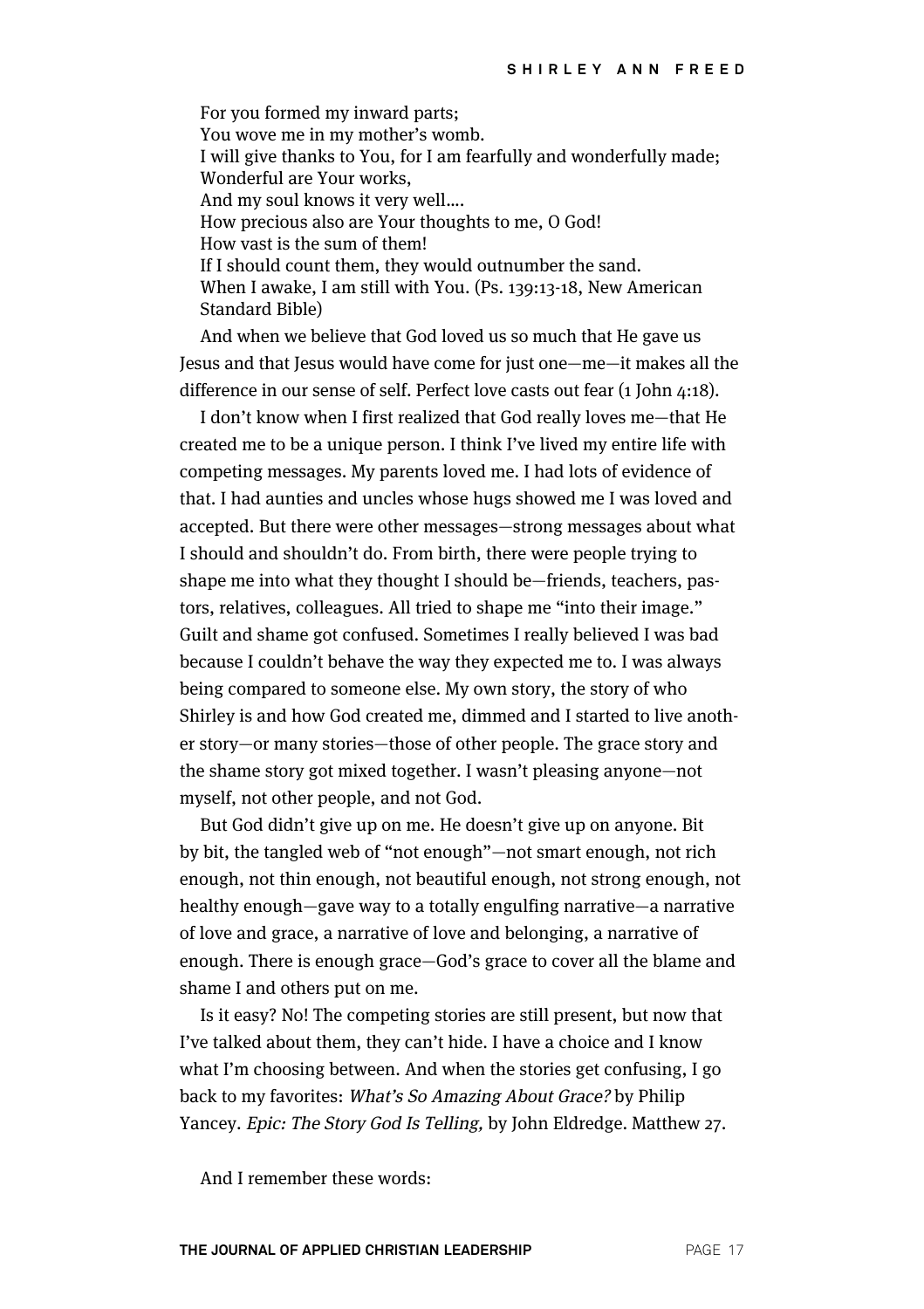For you formed my inward parts; You wove me in my mother's womb. I will give thanks to You, for I am fearfully and wonderfully made; Wonderful are Your works, And my soul knows it very well…. How precious also are Your thoughts to me, O God! How vast is the sum of them! If I should count them, they would outnumber the sand. When I awake, I am still with You. (Ps. 139:13-18, New American Standard Bible)

And when we believe that God loved us so much that He gave us Jesus and that Jesus would have come for just one—me—it makes all the difference in our sense of self. Perfect love casts out fear (1 John 4:18).

I don't know when I first realized that God really loves me—that He created me to be a unique person. I think I've lived my entire life with competing messages. My parents loved me. I had lots of evidence of that. I had aunties and uncles whose hugs showed me I was loved and accepted. But there were other messages—strong messages about what I should and shouldn't do. From birth, there were people trying to shape me into what they thought I should be—friends, teachers, pastors, relatives, colleagues. All tried to shape me "into their image." Guilt and shame got confused. Sometimes I really believed I was bad because I couldn't behave the way they expected me to. I was always being compared to someone else. My own story, the story of who Shirley is and how God created me, dimmed and I started to live another story—or many stories—those of other people. The grace story and the shame story got mixed together. I wasn't pleasing anyone—not myself, not other people, and not God.

But God didn't give up on me. He doesn't give up on anyone. Bit by bit, the tangled web of "not enough"—not smart enough, not rich enough, not thin enough, not beautiful enough, not strong enough, not healthy enough—gave way to a totally engulfing narrative—a narrative of love and grace, a narrative of love and belonging, a narrative of enough. There is enough grace—God's grace to cover all the blame and shame I and others put on me.

Is it easy? No! The competing stories are still present, but now that I've talked about them, they can't hide. I have a choice and I know what I'm choosing between. And when the stories get confusing, I go back to my favorites: What's So Amazing About Grace? by Philip Yancey. Epic: The Story God Is Telling, by John Eldredge. Matthew 27.

And I remember these words: